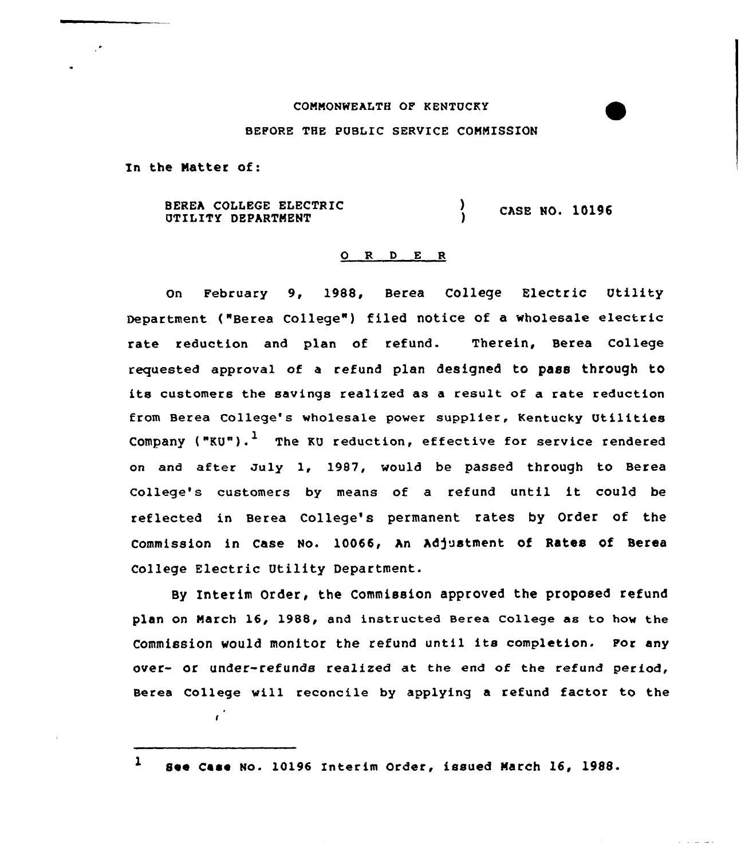## CONNONWEALTH OF KENTUCKY

## BEFORE THE PUBLIC SERVICE CONNISSION

In the Natter of:

 $\mathbf{r}^{\star}$ 

BEREh COLLEGE ELECTRIC BEREA COLLEGE ELECTRIC (and ) CASE NO. 10196

## 0 R <sup>D</sup> E <sup>R</sup>

On February 9, 1988, Berea COllege Electric Utility Department ("Berea College") filed notice of a wholesale electric rate reduction and plan of refund. Therein, Berea College requested approval of a refund plan designed to pass through tO its customers the savings realized as a result of a rate reduction from Berea College's wholesale power supplier, Kentucky Utilities Company (" $KU$ ").<sup>1</sup> The KU reduction, effective for service rendered on and after duly 1, 1987, would be passed through to Berea College's customers by means of <sup>a</sup> refund until it could be reflected in Berea College's permanent rates by Order of the commission in case No. 10066, hn Ad)ustment of Rates of Berea College Electric Utility Department.

By Interim Order, the Commission approved the proposed refund plan on March 16, 1988, and instructed Berea College as to how the Commission would monitor the refund until its completion. For any over- or under-refunds realized at the end of the refund period, Berea College will reconcile by applying a refund factor to the

<sup>1</sup> See Case No. 10196 Interim Order, issued Narch 16, 1988.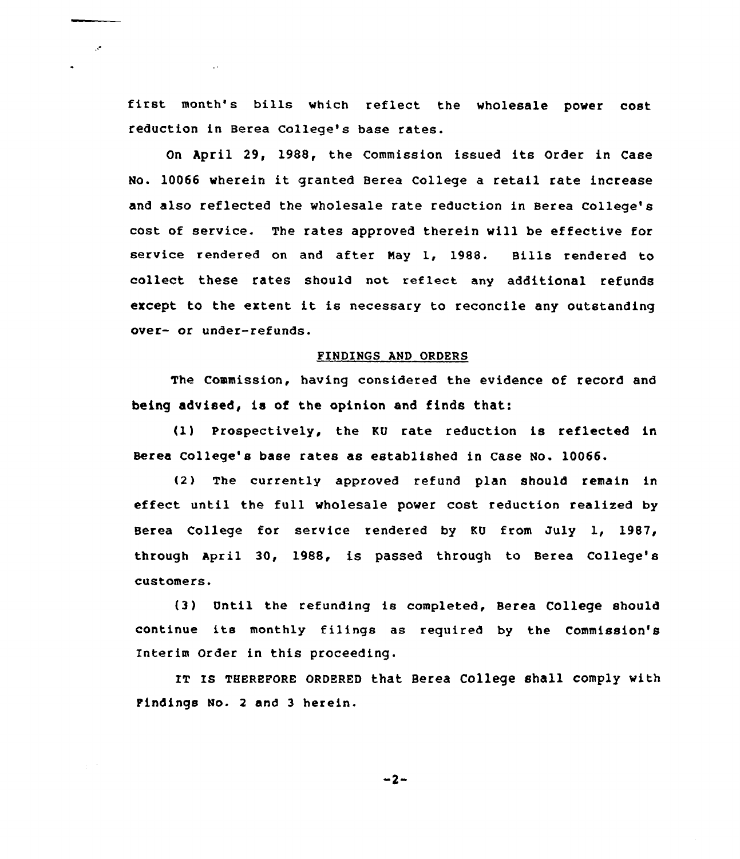first month's bills which reflect the wholesale power cost reduction in Berea colleqe's base rates.

 $\cdot$ 

 $\Delta \sim 10^4$ 

On April 29, 1988, the Commission issued its Order in Case No. <sup>10066</sup> wherein it granted Berea College <sup>a</sup> retail rate increase and also reflected the wholesale rate reduction in Berea college's cost of service. The rates approved therein will be effective for service rendered on and after Nay 1, 1988. Bills rendered to collect these rates should not reflect any additional refunds except to the extent it is necessary to reconcile any outstanding over- or under-refunds.

## FINDINGS AND ORDERS

The commission, having considered the evidence of record and being advised, is of the opinion and finds that:

(1) Prospectively, the KU rate reduction is reflected in Berea College's base rates as established in Case No. 10066.

(2) The currently approved refund plan should remain in effect until the full wholesale power cost reduction realized by Berea College for service rendered by KU from July 1, 1987, through april 30, 1988, is passed through to Berea College's customers.

(3) Until the refunding is completed, Berea College should continue its monthly filings as required by the Commission'S Interim Order in this proceeding.

IT Is THEREFoRE oRDERED that Berea college shall comply with Findings No. 2 and 3 herein.

 $-2-$